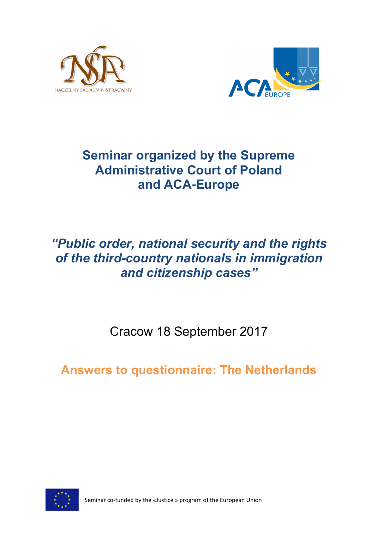



## **Seminar organized by the Supreme Administrative Court of Poland and ACA-Europe**

# *"Public order, national security and the rights of the third-country nationals in immigration and citizenship cases"*

Cracow 18 September 2017

**Answers to questionnaire: The Netherlands**



Seminar co-funded by the «Justice » program of the European Union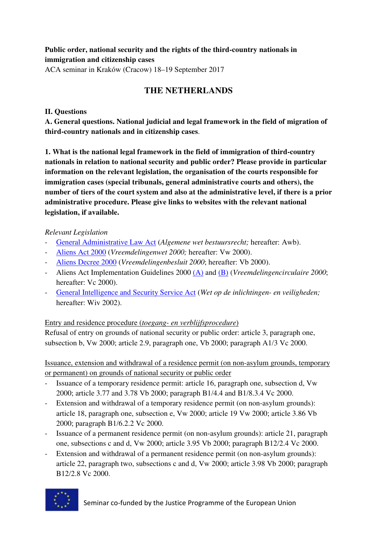## **Public order, national security and the rights of the third-country nationals in immigration and citizenship cases**

ACA seminar in Kraków (Cracow) 18–19 September 2017

## **THE NETHERLANDS**

## **II. Questions**

**A. General questions. National judicial and legal framework in the field of migration of third-country nationals and in citizenship cases**.

**1. What is the national legal framework in the field of immigration of third-country nationals in relation to national security and public order? Please provide in particular information on the relevant legislation, the organisation of the courts responsible for immigration cases (special tribunals, general administrative courts and others), the number of tiers of the court system and also at the administrative level, if there is a prior administrative procedure. Please give links to websites with the relevant national legislation, if available.** 

## *Relevant Legislation*

- General Administrative Law Act (*Algemene wet bestuursrecht;* hereafter: Awb).
- Aliens Act 2000 (*Vreemdelingenwet 2000;* hereafter: Vw 2000).
- Aliens Decree 2000 (*Vreemdelingenbesluit 2000*; hereafter: Vb 2000).
- Aliens Act Implementation Guidelines 2000 (A) and (B) (*Vreemdelingencirculaire 2000*; hereafter: Vc 2000).
- General Intelligence and Security Service Act (*Wet op de inlichtingen- en veiligheden;*  hereafter: Wiv 2002).

## Entry and residence procedure (*toegang- en verblijfsprocedure*)

Refusal of entry on grounds of national security or public order: article 3, paragraph one, subsection b, Vw 2000; article 2.9, paragraph one, Vb 2000; paragraph A1/3 Vc 2000.

## Issuance, extension and withdrawal of a residence permit (on non-asylum grounds, temporary or permanent) on grounds of national security or public order

- Issuance of a temporary residence permit: article 16, paragraph one, subsection d, Vw 2000; article 3.77 and 3.78 Vb 2000; paragraph B1/4.4 and B1/8.3.4 Vc 2000.
- Extension and withdrawal of a temporary residence permit (on non-asylum grounds): article 18, paragraph one, subsection e, Vw 2000; article 19 Vw 2000; article 3.86 Vb 2000; paragraph B1/6.2.2 Vc 2000.
- Issuance of a permanent residence permit (on non-asylum grounds): article 21, paragraph one, subsections c and d, Vw 2000; article 3.95 Vb 2000; paragraph B12/2.4 Vc 2000.
- Extension and withdrawal of a permanent residence permit (on non-asylum grounds): article 22, paragraph two, subsections c and d, Vw 2000; article 3.98 Vb 2000; paragraph B12/2.8 Vc 2000.

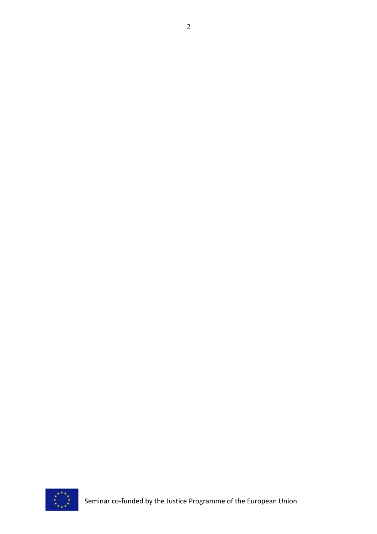

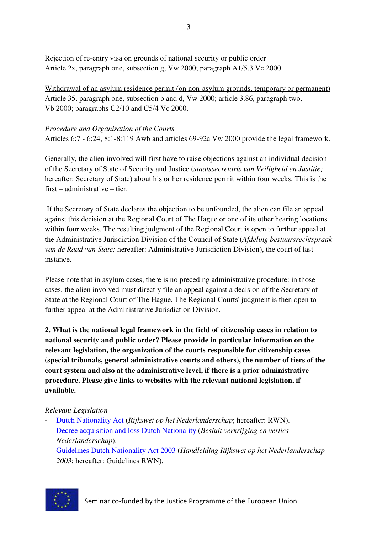Rejection of re-entry visa on grounds of national security or public order Article 2x, paragraph one, subsection g, Vw 2000; paragraph A1/5.3 Vc 2000.

Withdrawal of an asylum residence permit (on non-asylum grounds, temporary or permanent) Article 35, paragraph one, subsection b and d, Vw 2000; article 3.86, paragraph two, Vb 2000; paragraphs C2/10 and C5/4 Vc 2000.

#### *Procedure and Organisation of the Courts*

Articles 6:7 - 6:24, 8:1-8:119 Awb and articles 69-92a Vw 2000 provide the legal framework.

Generally, the alien involved will first have to raise objections against an individual decision of the Secretary of State of Security and Justice (*staatssecretaris van Veiligheid en Justitie;*  hereafter: Secretary of State) about his or her residence permit within four weeks. This is the first – administrative – tier.

 If the Secretary of State declares the objection to be unfounded, the alien can file an appeal against this decision at the Regional Court of The Hague or one of its other hearing locations within four weeks. The resulting judgment of the Regional Court is open to further appeal at the Administrative Jurisdiction Division of the Council of State (*Afdeling bestuursrechtspraak van de Raad van State;* hereafter: Administrative Jurisdiction Division), the court of last instance.

Please note that in asylum cases, there is no preceding administrative procedure: in those cases, the alien involved must directly file an appeal against a decision of the Secretary of State at the Regional Court of The Hague. The Regional Courts' judgment is then open to further appeal at the Administrative Jurisdiction Division.

**2. What is the national legal framework in the field of citizenship cases in relation to national security and public order? Please provide in particular information on the relevant legislation, the organization of the courts responsible for citizenship cases (special tribunals, general administrative courts and others), the number of tiers of the court system and also at the administrative level, if there is a prior administrative procedure. Please give links to websites with the relevant national legislation, if available.** 

#### *Relevant Legislation*

- Dutch Nationality Act (*Rijkswet op het Nederlanderschap*; hereafter: RWN).
- Decree acquisition and loss Dutch Nationality (*Besluit verkrijging en verlies Nederlanderschap*).
- Guidelines Dutch Nationality Act 2003 (*Handleiding Rijkswet op het Nederlanderschap 2003*; hereafter: Guidelines RWN).

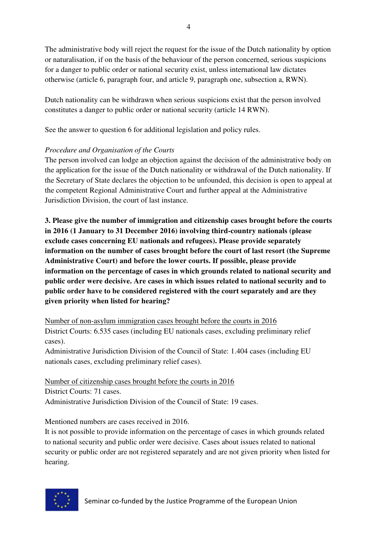The administrative body will reject the request for the issue of the Dutch nationality by option or naturalisation, if on the basis of the behaviour of the person concerned, serious suspicions for a danger to public order or national security exist, unless international law dictates otherwise (article 6, paragraph four, and article 9, paragraph one, subsection a, RWN).

Dutch nationality can be withdrawn when serious suspicions exist that the person involved constitutes a danger to public order or national security (article 14 RWN).

See the answer to question 6 for additional legislation and policy rules.

## *Procedure and Organisation of the Courts*

The person involved can lodge an objection against the decision of the administrative body on the application for the issue of the Dutch nationality or withdrawal of the Dutch nationality. If the Secretary of State declares the objection to be unfounded, this decision is open to appeal at the competent Regional Administrative Court and further appeal at the Administrative Jurisdiction Division, the court of last instance.

**3. Please give the number of immigration and citizenship cases brought before the courts in 2016 (1 January to 31 December 2016) involving third-country nationals (please exclude cases concerning EU nationals and refugees). Please provide separately information on the number of cases brought before the court of last resort (the Supreme Administrative Court) and before the lower courts. If possible, please provide information on the percentage of cases in which grounds related to national security and public order were decisive. Are cases in which issues related to national security and to public order have to be considered registered with the court separately and are they given priority when listed for hearing?** 

Number of non-asylum immigration cases brought before the courts in 2016 District Courts: 6.535 cases (including EU nationals cases, excluding preliminary relief cases).

Administrative Jurisdiction Division of the Council of State: 1.404 cases (including EU nationals cases, excluding preliminary relief cases).

Number of citizenship cases brought before the courts in 2016 District Courts: 71 cases. Administrative Jurisdiction Division of the Council of State: 19 cases.

Mentioned numbers are cases received in 2016.

It is not possible to provide information on the percentage of cases in which grounds related to national security and public order were decisive. Cases about issues related to national security or public order are not registered separately and are not given priority when listed for hearing.

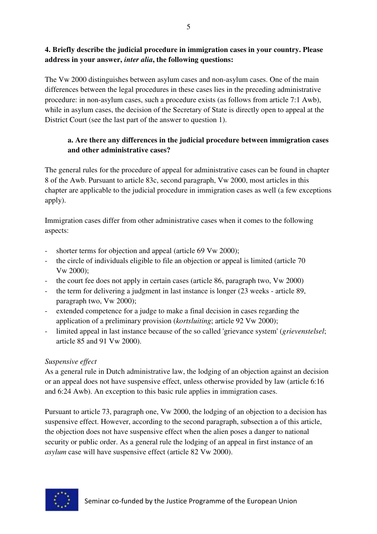**4. Briefly describe the judicial procedure in immigration cases in your country. Please address in your answer,** *inter alia***, the following questions:** 

The Vw 2000 distinguishes between asylum cases and non-asylum cases. One of the main differences between the legal procedures in these cases lies in the preceding administrative procedure: in non-asylum cases, such a procedure exists (as follows from article 7:1 Awb), while in asylum cases, the decision of the Secretary of State is directly open to appeal at the District Court (see the last part of the answer to question 1).

## **a. Are there any differences in the judicial procedure between immigration cases and other administrative cases?**

The general rules for the procedure of appeal for administrative cases can be found in chapter 8 of the Awb. Pursuant to article 83c, second paragraph, Vw 2000, most articles in this chapter are applicable to the judicial procedure in immigration cases as well (a few exceptions apply).

Immigration cases differ from other administrative cases when it comes to the following aspects:

- shorter terms for objection and appeal (article 69 Vw 2000);
- the circle of individuals eligible to file an objection or appeal is limited (article 70 Vw 2000);
- the court fee does not apply in certain cases (article 86, paragraph two, Vw 2000)
- the term for delivering a judgment in last instance is longer (23 weeks article 89, paragraph two, Vw 2000);
- extended competence for a judge to make a final decision in cases regarding the application of a preliminary provision (*kortsluiting*; article 92 Vw 2000);
- limited appeal in last instance because of the so called 'grievance system' (*grievenstelsel*; article 85 and 91 Vw 2000).

## *Suspensive effect*

As a general rule in Dutch administrative law, the lodging of an objection against an decision or an appeal does not have suspensive effect, unless otherwise provided by law (article 6:16 and 6:24 Awb). An exception to this basic rule applies in immigration cases.

Pursuant to article 73, paragraph one, Vw 2000, the lodging of an objection to a decision has suspensive effect. However, according to the second paragraph, subsection a of this article, the objection does not have suspensive effect when the alien poses a danger to national security or public order. As a general rule the lodging of an appeal in first instance of an *asylum* case will have suspensive effect (article 82 Vw 2000).

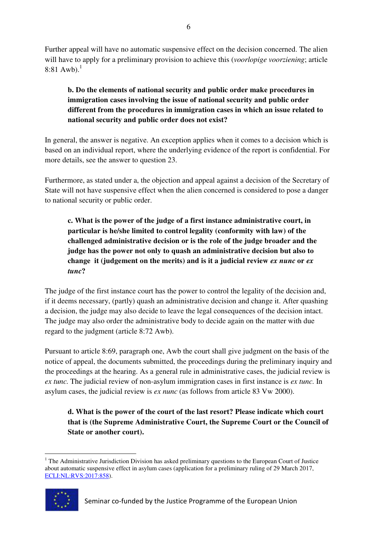Further appeal will have no automatic suspensive effect on the decision concerned. The alien will have to apply for a preliminary provision to achieve this (*voorlopige voorziening*; article 8:81 Awb).<sup>1</sup>

## **b. Do the elements of national security and public order make procedures in immigration cases involving the issue of national security and public order different from the procedures in immigration cases in which an issue related to national security and public order does not exist?**

In general, the answer is negative. An exception applies when it comes to a decision which is based on an individual report, where the underlying evidence of the report is confidential. For more details, see the answer to question 23.

Furthermore, as stated under a, the objection and appeal against a decision of the Secretary of State will not have suspensive effect when the alien concerned is considered to pose a danger to national security or public order.

**c. What is the power of the judge of a first instance administrative court, in particular is he/she limited to control legality (conformity with law) of the challenged administrative decision or is the role of the judge broader and the judge has the power not only to quash an administrative decision but also to change it (judgement on the merits) and is it a judicial review** *ex nunc* **or** *ex tunc***?** 

The judge of the first instance court has the power to control the legality of the decision and, if it deems necessary, (partly) quash an administrative decision and change it. After quashing a decision, the judge may also decide to leave the legal consequences of the decision intact. The judge may also order the administrative body to decide again on the matter with due regard to the judgment (article 8:72 Awb).

Pursuant to article 8:69, paragraph one, Awb the court shall give judgment on the basis of the notice of appeal, the documents submitted, the proceedings during the preliminary inquiry and the proceedings at the hearing. As a general rule in administrative cases, the judicial review is *ex tunc.* The judicial review of non-asylum immigration cases in first instance is *ex tunc*. In asylum cases, the judicial review is *ex nunc* (as follows from article 83 Vw 2000).

**d. What is the power of the court of the last resort? Please indicate which court that is (the Supreme Administrative Court, the Supreme Court or the Council of State or another court).** 

 $\overline{a}$ <sup>1</sup> The Administrative Jurisdiction Division has asked preliminary questions to the European Court of Justice about automatic suspensive effect in asylum cases (application for a preliminary ruling of 29 March 2017, ECLI:NL:RVS:2017:858).

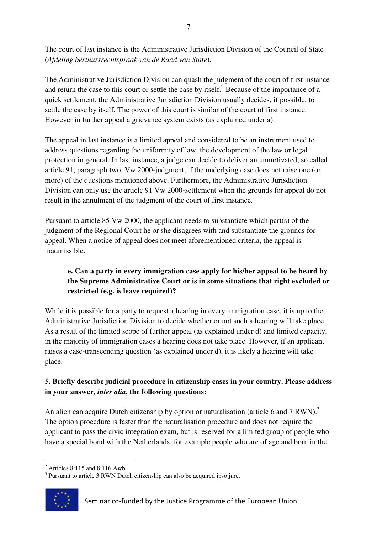The court of last instance is the Administrative Jurisdiction Division of the Council of State (*Afdeling bestuursrechtspraak van de Raad van State*).

The Administrative Jurisdiction Division can quash the judgment of the court of first instance and return the case to this court or settle the case by itself.<sup>2</sup> Because of the importance of a quick settlement, the Administrative Jurisdiction Division usually decides, if possible, to settle the case by itself. The power of this court is similar of the court of first instance. However in further appeal a grievance system exists (as explained under a).

The appeal in last instance is a limited appeal and considered to be an instrument used to address questions regarding the uniformity of law, the development of the law or legal protection in general. In last instance, a judge can decide to deliver an unmotivated, so called article 91, paragraph two, Vw 2000-judgment, if the underlying case does not raise one (or more) of the questions mentioned above. Furthermore, the Administrative Jurisdiction Division can only use the article 91 Vw 2000-settlement when the grounds for appeal do not result in the annulment of the judgment of the court of first instance.

Pursuant to article 85 Vw 2000, the applicant needs to substantiate which part(s) of the judgment of the Regional Court he or she disagrees with and substantiate the grounds for appeal. When a notice of appeal does not meet aforementioned criteria, the appeal is inadmissible.

## **e. Can a party in every immigration case apply for his/her appeal to be heard by the Supreme Administrative Court or is in some situations that right excluded or restricted (e.g. is leave required)?**

While it is possible for a party to request a hearing in every immigration case, it is up to the Administrative Jurisdiction Division to decide whether or not such a hearing will take place. As a result of the limited scope of further appeal (as explained under d) and limited capacity, in the majority of immigration cases a hearing does not take place. However, if an applicant raises a case-transcending question (as explained under d), it is likely a hearing will take place.

## **5. Briefly describe judicial procedure in citizenship cases in your country. Please address in your answer,** *inter alia***, the following questions:**

An alien can acquire Dutch citizenship by option or naturalisation (article 6 and 7 RWN).<sup>3</sup> The option procedure is faster than the naturalisation procedure and does not require the applicant to pass the civic integration exam, but is reserved for a limited group of people who have a special bond with the Netherlands, for example people who are of age and born in the

<sup>&</sup>lt;sup>3</sup> Pursuant to article 3 RWN Dutch citizenship can also be acquired ipso jure.



<sup>&</sup>lt;sup>2</sup> Articles 8:115 and 8:116 Awb.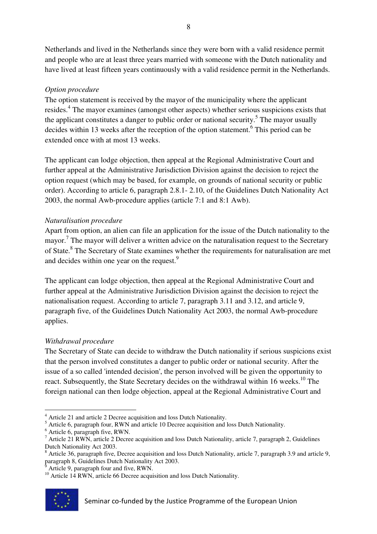Netherlands and lived in the Netherlands since they were born with a valid residence permit and people who are at least three years married with someone with the Dutch nationality and have lived at least fifteen years continuously with a valid residence permit in the Netherlands.

#### *Option procedure*

The option statement is received by the mayor of the municipality where the applicant resides.<sup>4</sup> The mayor examines (amongst other aspects) whether serious suspicions exists that the applicant constitutes a danger to public order or national security.<sup>5</sup> The mayor usually decides within 13 weeks after the reception of the option statement.<sup>6</sup> This period can be extended once with at most 13 weeks.

The applicant can lodge objection, then appeal at the Regional Administrative Court and further appeal at the Administrative Jurisdiction Division against the decision to reject the option request (which may be based, for example, on grounds of national security or public order). According to article 6, paragraph 2.8.1- 2.10, of the Guidelines Dutch Nationality Act 2003, the normal Awb-procedure applies (article 7:1 and 8:1 Awb).

#### *Naturalisation procedure*

Apart from option, an alien can file an application for the issue of the Dutch nationality to the mayor.<sup>7</sup> The mayor will deliver a written advice on the naturalisation request to the Secretary of State.<sup>8</sup> The Secretary of State examines whether the requirements for naturalisation are met and decides within one year on the request.<sup>9</sup>

The applicant can lodge objection, then appeal at the Regional Administrative Court and further appeal at the Administrative Jurisdiction Division against the decision to reject the nationalisation request. According to article 7, paragraph 3.11 and 3.12, and article 9, paragraph five, of the Guidelines Dutch Nationality Act 2003, the normal Awb-procedure applies.

## *Withdrawal procedure*

The Secretary of State can decide to withdraw the Dutch nationality if serious suspicions exist that the person involved constitutes a danger to public order or national security. After the issue of a so called 'intended decision', the person involved will be given the opportunity to react. Subsequently, the State Secretary decides on the withdrawal within 16 weeks.<sup>10</sup> The foreign national can then lodge objection, appeal at the Regional Administrative Court and

<sup>&</sup>lt;sup>10</sup> Article 14 RWN, article 66 Decree acquisition and loss Dutch Nationality.



 $\overline{a}$ <sup>4</sup> Article 21 and article 2 Decree acquisition and loss Dutch Nationality.

<sup>&</sup>lt;sup>5</sup> Article 6, paragraph four, RWN and article 10 Decree acquisition and loss Dutch Nationality.

<sup>6</sup> Article 6, paragraph five, RWN.

 $^7$  Article 21 RWN, article 2 Decree acquisition and loss Dutch Nationality, article 7, paragraph 2, Guidelines Dutch Nationality Act 2003.

<sup>&</sup>lt;sup>8</sup> Article 36, paragraph five, Decree acquisition and loss Dutch Nationality, article 7, paragraph 3.9 and article 9, paragraph 8, Guidelines Dutch Nationality Act 2003.

<sup>9</sup> Article 9, paragraph four and five, RWN.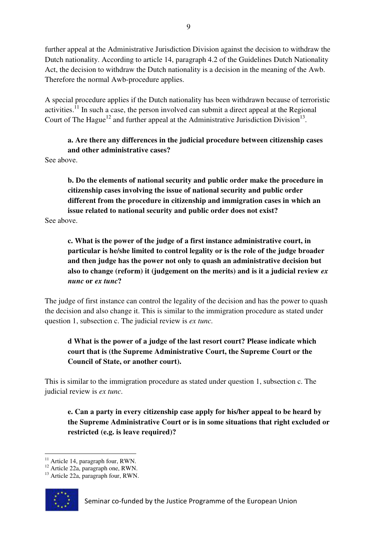further appeal at the Administrative Jurisdiction Division against the decision to withdraw the Dutch nationality. According to article 14, paragraph 4.2 of the Guidelines Dutch Nationality Act, the decision to withdraw the Dutch nationality is a decision in the meaning of the Awb. Therefore the normal Awb-procedure applies.

A special procedure applies if the Dutch nationality has been withdrawn because of terroristic activities.<sup>11</sup> In such a case, the person involved can submit a direct appeal at the Regional Court of The Hague<sup>12</sup> and further appeal at the Administrative Jurisdiction Division<sup>13</sup>.

## **a. Are there any differences in the judicial procedure between citizenship cases and other administrative cases?**

See above.

**b. Do the elements of national security and public order make the procedure in citizenship cases involving the issue of national security and public order different from the procedure in citizenship and immigration cases in which an issue related to national security and public order does not exist?** 

See above.

**c. What is the power of the judge of a first instance administrative court, in particular is he/she limited to control legality or is the role of the judge broader and then judge has the power not only to quash an administrative decision but also to change (reform) it (judgement on the merits) and is it a judicial review** *ex nunc* **or** *ex tunc***?** 

The judge of first instance can control the legality of the decision and has the power to quash the decision and also change it. This is similar to the immigration procedure as stated under question 1, subsection c. The judicial review is *ex tunc*.

## **d What is the power of a judge of the last resort court? Please indicate which court that is (the Supreme Administrative Court, the Supreme Court or the Council of State, or another court).**

This is similar to the immigration procedure as stated under question 1, subsection c. The judicial review is *ex tunc*.

**e. Can a party in every citizenship case apply for his/her appeal to be heard by the Supreme Administrative Court or is in some situations that right excluded or restricted (e.g. is leave required)?** 

<sup>&</sup>lt;sup>13</sup> Article 22a, paragraph four, RWN.



 $\overline{a}$  $11$  Article 14, paragraph four, RWN.

<sup>&</sup>lt;sup>12</sup> Article 22a, paragraph one, RWN.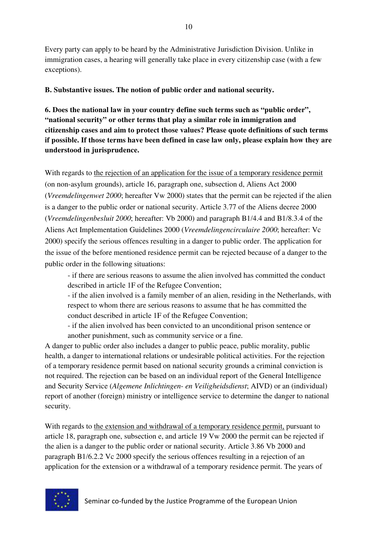Every party can apply to be heard by the Administrative Jurisdiction Division. Unlike in immigration cases, a hearing will generally take place in every citizenship case (with a few exceptions).

#### **B. Substantive issues. The notion of public order and national security.**

**6. Does the national law in your country define such terms such as "public order", "national security" or other terms that play a similar role in immigration and citizenship cases and aim to protect those values? Please quote definitions of such terms if possible. If those terms have been defined in case law only, please explain how they are understood in jurisprudence.** 

With regards to the rejection of an application for the issue of a temporary residence permit (on non-asylum grounds), article 16, paragraph one, subsection d, Aliens Act 2000 (*Vreemdelingenwet 2000*; hereafter Vw 2000) states that the permit can be rejected if the alien is a danger to the public order or national security. Article 3.77 of the Aliens decree 2000 (*Vreemdelingenbesluit 2000*; hereafter: Vb 2000) and paragraph B1/4.4 and B1/8.3.4 of the Aliens Act Implementation Guidelines 2000 (*Vreemdelingencirculaire 2000*; hereafter: Vc 2000) specify the serious offences resulting in a danger to public order. The application for the issue of the before mentioned residence permit can be rejected because of a danger to the public order in the following situations:

- if there are serious reasons to assume the alien involved has committed the conduct described in article 1F of the Refugee Convention;

- if the alien involved is a family member of an alien, residing in the Netherlands, with respect to whom there are serious reasons to assume that he has committed the conduct described in article 1F of the Refugee Convention;

- if the alien involved has been convicted to an unconditional prison sentence or another punishment, such as community service or a fine.

A danger to public order also includes a danger to public peace, public morality, public health, a danger to international relations or undesirable political activities. For the rejection of a temporary residence permit based on national security grounds a criminal conviction is not required. The rejection can be based on an individual report of the General Intelligence and Security Service (*Algemene Inlichtingen- en Veiligheidsdienst*; AIVD) or an (individual) report of another (foreign) ministry or intelligence service to determine the danger to national security.

With regards to the extension and withdrawal of a temporary residence permit, pursuant to article 18, paragraph one, subsection e, and article 19 Vw 2000 the permit can be rejected if the alien is a danger to the public order or national security. Article 3.86 Vb 2000 and paragraph B1/6.2.2 Vc 2000 specify the serious offences resulting in a rejection of an application for the extension or a withdrawal of a temporary residence permit. The years of

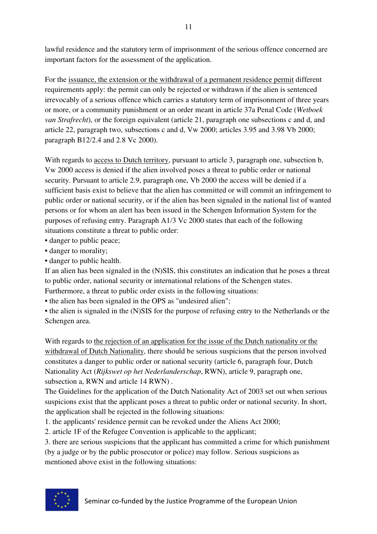lawful residence and the statutory term of imprisonment of the serious offence concerned are important factors for the assessment of the application.

For the issuance, the extension or the withdrawal of a permanent residence permit different requirements apply: the permit can only be rejected or withdrawn if the alien is sentenced irrevocably of a serious offence which carries a statutory term of imprisonment of three years or more, or a community punishment or an order meant in article 37a Penal Code (*Wetboek van Strafrecht*), or the foreign equivalent (article 21, paragraph one subsections c and d, and article 22, paragraph two, subsections c and d, Vw 2000; articles 3.95 and 3.98 Vb 2000; paragraph B12/2.4 and 2.8 Vc 2000).

With regards to access to Dutch territory, pursuant to article 3, paragraph one, subsection b, Vw 2000 access is denied if the alien involved poses a threat to public order or national security. Pursuant to article 2.9, paragraph one, Vb 2000 the access will be denied if a sufficient basis exist to believe that the alien has committed or will commit an infringement to public order or national security, or if the alien has been signaled in the national list of wanted persons or for whom an alert has been issued in the Schengen Information System for the purposes of refusing entry. Paragraph A1/3 Vc 2000 states that each of the following situations constitute a threat to public order:

- danger to public peace;
- danger to morality;
- danger to public health.

If an alien has been signaled in the (N)SIS, this constitutes an indication that he poses a threat to public order, national security or international relations of the Schengen states. Furthermore, a threat to public order exists in the following situations:

• the alien has been signaled in the OPS as "undesired alien";

• the alien is signaled in the (N)SIS for the purpose of refusing entry to the Netherlands or the Schengen area.

With regards to the rejection of an application for the issue of the Dutch nationality or the withdrawal of Dutch Nationality, there should be serious suspicions that the person involved constitutes a danger to public order or national security (article 6, paragraph four, Dutch Nationality Act (*Rijkswet op het Nederlanderschap*, RWN), article 9, paragraph one, subsection a, RWN and article 14 RWN) .

The Guidelines for the application of the Dutch Nationality Act of 2003 set out when serious suspicions exist that the applicant poses a threat to public order or national security. In short, the application shall be rejected in the following situations:

1. the applicants' residence permit can be revoked under the Aliens Act 2000;

2. article 1F of the Refugee Convention is applicable to the applicant;

3. there are serious suspicions that the applicant has committed a crime for which punishment (by a judge or by the public prosecutor or police) may follow. Serious suspicions as mentioned above exist in the following situations:

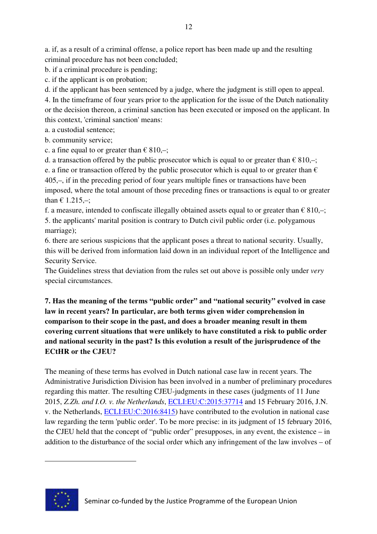a. if, as a result of a criminal offense, a police report has been made up and the resulting criminal procedure has not been concluded;

b. if a criminal procedure is pending;

c. if the applicant is on probation;

d. if the applicant has been sentenced by a judge, where the judgment is still open to appeal.

4. In the timeframe of four years prior to the application for the issue of the Dutch nationality or the decision thereon, a criminal sanction has been executed or imposed on the applicant. In this context, 'criminal sanction' means:

a. a custodial sentence;

b. community service;

c. a fine equal to or greater than  $\epsilon$  810,-;

d. a transaction offered by the public prosecutor which is equal to or greater than  $\epsilon$  810,–; e. a fine or transaction offered by the public prosecutor which is equal to or greater than  $\epsilon$ 405,–, if in the preceding period of four years multiple fines or transactions have been imposed, where the total amount of those preceding fines or transactions is equal to or greater than  $\in$  1.215,-;

f. a measure, intended to confiscate illegally obtained assets equal to or greater than  $\epsilon$  810,-; 5. the applicants' marital position is contrary to Dutch civil public order (i.e. polygamous marriage);

6. there are serious suspicions that the applicant poses a threat to national security. Usually, this will be derived from information laid down in an individual report of the Intelligence and Security Service.

The Guidelines stress that deviation from the rules set out above is possible only under *very*  special circumstances.

**7. Has the meaning of the terms "public order" and "national security" evolved in case law in recent years? In particular, are both terms given wider comprehension in comparison to their scope in the past, and does a broader meaning result in them covering current situations that were unlikely to have constituted a risk to public order and national security in the past? Is this evolution a result of the jurisprudence of the ECtHR or the CJEU?** 

The meaning of these terms has evolved in Dutch national case law in recent years. The Administrative Jurisdiction Division has been involved in a number of preliminary procedures regarding this matter. The resulting CJEU-judgments in these cases (judgments of 11 June 2015, *Z.Zh. and I.O. v. the Netherlands*, ECLI:EU:C:2015:37714 and 15 February 2016, J.N. v. the Netherlands, ECLI:EU:C:2016:8415) have contributed to the evolution in national case law regarding the term 'public order'. To be more precise: in its judgment of 15 february 2016, the CJEU held that the concept of "public order" presupposes, in any event, the existence – in addition to the disturbance of the social order which any infringement of the law involves – of



 $\overline{a}$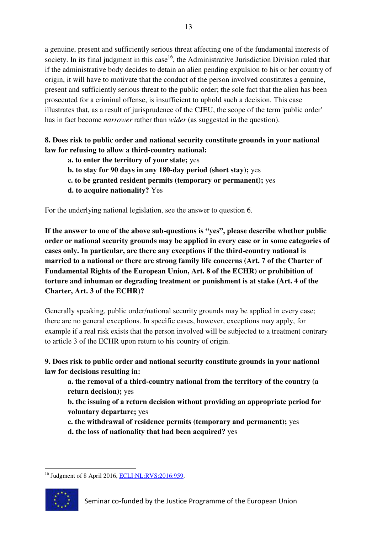a genuine, present and sufficiently serious threat affecting one of the fundamental interests of society. In its final judgment in this case<sup>16</sup>, the Administrative Jurisdiction Division ruled that if the administrative body decides to detain an alien pending expulsion to his or her country of origin, it will have to motivate that the conduct of the person involved constitutes a genuine, present and sufficiently serious threat to the public order; the sole fact that the alien has been prosecuted for a criminal offense, is insufficient to uphold such a decision. This case illustrates that, as a result of jurisprudence of the CJEU, the scope of the term 'public order' has in fact become *narrower* rather than *wider* (as suggested in the question).

## **8. Does risk to public order and national security constitute grounds in your national law for refusing to allow a third-country national:**

- **a. to enter the territory of your state;** yes
- **b. to stay for 90 days in any 180-day period (short stay);** yes
- **c. to be granted resident permits (temporary or permanent);** yes
- **d. to acquire nationality?** Yes

For the underlying national legislation, see the answer to question 6.

**If the answer to one of the above sub-questions is "yes", please describe whether public order or national security grounds may be applied in every case or in some categories of cases only. In particular, are there any exceptions if the third-country national is married to a national or there are strong family life concerns (Art. 7 of the Charter of Fundamental Rights of the European Union, Art. 8 of the ECHR) or prohibition of torture and inhuman or degrading treatment or punishment is at stake (Art. 4 of the Charter, Art. 3 of the ECHR)?** 

Generally speaking, public order/national security grounds may be applied in every case; there are no general exceptions. In specific cases, however, exceptions may apply, for example if a real risk exists that the person involved will be subjected to a treatment contrary to article 3 of the ECHR upon return to his country of origin.

**9. Does risk to public order and national security constitute grounds in your national law for decisions resulting in:** 

**a. the removal of a third-country national from the territory of the country (a return decision);** yes

**b. the issuing of a return decision without providing an appropriate period for voluntary departure;** yes

**c. the withdrawal of residence permits (temporary and permanent);** yes

**d. the loss of nationality that had been acquired?** yes

 $\overline{a}$ <sup>16</sup> Judgment of 8 April 2016, ECLI:NL:RVS:2016:959.

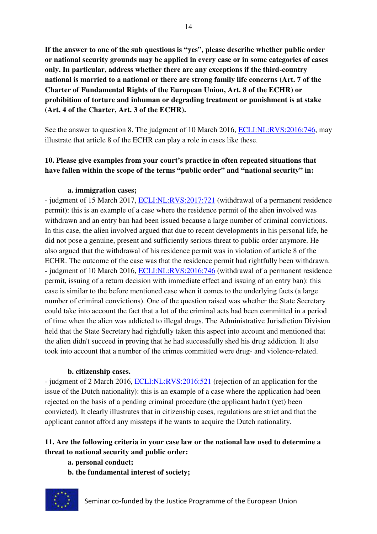**If the answer to one of the sub questions is "yes", please describe whether public order or national security grounds may be applied in every case or in some categories of cases only. In particular, address whether there are any exceptions if the third-country national is married to a national or there are strong family life concerns (Art. 7 of the Charter of Fundamental Rights of the European Union, Art. 8 of the ECHR) or prohibition of torture and inhuman or degrading treatment or punishment is at stake (Art. 4 of the Charter, Art. 3 of the ECHR).** 

See the answer to question 8. The judgment of 10 March 2016, ECLI:NL:RVS:2016:746, may illustrate that article 8 of the ECHR can play a role in cases like these.

## **10. Please give examples from your court's practice in often repeated situations that have fallen within the scope of the terms "public order" and "national security" in:**

#### **a. immigration cases;**

- judgment of 15 March 2017, ECLI:NL:RVS:2017:721 (withdrawal of a permanent residence permit): this is an example of a case where the residence permit of the alien involved was withdrawn and an entry ban had been issued because a large number of criminal convictions. In this case, the alien involved argued that due to recent developments in his personal life, he did not pose a genuine, present and sufficiently serious threat to public order anymore. He also argued that the withdrawal of his residence permit was in violation of article 8 of the ECHR. The outcome of the case was that the residence permit had rightfully been withdrawn. - judgment of 10 March 2016, ECLI:NL:RVS:2016:746 (withdrawal of a permanent residence permit, issuing of a return decision with immediate effect and issuing of an entry ban): this case is similar to the before mentioned case when it comes to the underlying facts (a large number of criminal convictions). One of the question raised was whether the State Secretary could take into account the fact that a lot of the criminal acts had been committed in a period of time when the alien was addicted to illegal drugs. The Administrative Jurisdiction Division held that the State Secretary had rightfully taken this aspect into account and mentioned that the alien didn't succeed in proving that he had successfully shed his drug addiction. It also took into account that a number of the crimes committed were drug- and violence-related.

#### **b. citizenship cases.**

- judgment of 2 March 2016, ECLI:NL:RVS:2016:521 (rejection of an application for the issue of the Dutch nationality): this is an example of a case where the application had been rejected on the basis of a pending criminal procedure (the applicant hadn't (yet) been convicted). It clearly illustrates that in citizenship cases, regulations are strict and that the applicant cannot afford any missteps if he wants to acquire the Dutch nationality.

## **11. Are the following criteria in your case law or the national law used to determine a threat to national security and public order:**

- **a. personal conduct;**
- **b. the fundamental interest of society;**

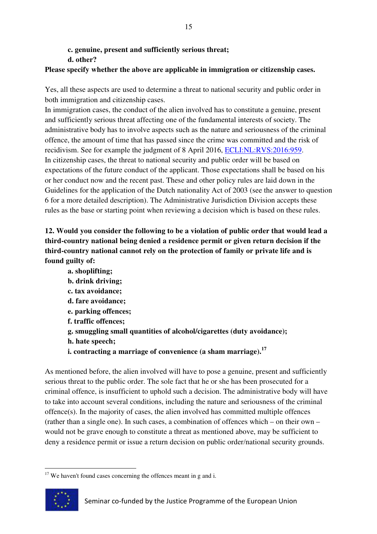## **c. genuine, present and sufficiently serious threat; d. other?**

#### **Please specify whether the above are applicable in immigration or citizenship cases.**

Yes, all these aspects are used to determine a threat to national security and public order in both immigration and citizenship cases.

In immigration cases, the conduct of the alien involved has to constitute a genuine, present and sufficiently serious threat affecting one of the fundamental interests of society. The administrative body has to involve aspects such as the nature and seriousness of the criminal offence, the amount of time that has passed since the crime was committed and the risk of recidivism. See for example the judgment of 8 April 2016, ECLI:NL:RVS:2016:959. In citizenship cases, the threat to national security and public order will be based on expectations of the future conduct of the applicant. Those expectations shall be based on his or her conduct now and the recent past. These and other policy rules are laid down in the Guidelines for the application of the Dutch nationality Act of 2003 (see the answer to question 6 for a more detailed description). The Administrative Jurisdiction Division accepts these rules as the base or starting point when reviewing a decision which is based on these rules.

## **12. Would you consider the following to be a violation of public order that would lead a third-country national being denied a residence permit or given return decision if the third-country national cannot rely on the protection of family or private life and is found guilty of:**



As mentioned before, the alien involved will have to pose a genuine, present and sufficiently serious threat to the public order. The sole fact that he or she has been prosecuted for a criminal offence, is insufficient to uphold such a decision. The administrative body will have to take into account several conditions, including the nature and seriousness of the criminal offence(s). In the majority of cases, the alien involved has committed multiple offences (rather than a single one). In such cases, a combination of offences which – on their own – would not be grave enough to constitute a threat as mentioned above, may be sufficient to deny a residence permit or issue a return decision on public order/national security grounds.

 $\overline{a}$  $17$  We haven't found cases concerning the offences meant in g and i.

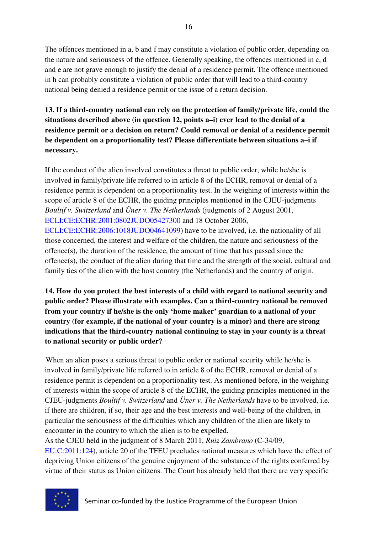The offences mentioned in a, b and f may constitute a violation of public order, depending on the nature and seriousness of the offence. Generally speaking, the offences mentioned in c, d and e are not grave enough to justify the denial of a residence permit. The offence mentioned in h can probably constitute a violation of public order that will lead to a third-country national being denied a residence permit or the issue of a return decision.

**13. If a third-country national can rely on the protection of family/private life, could the situations described above (in question 12, points a–i) ever lead to the denial of a residence permit or a decision on return? Could removal or denial of a residence permit be dependent on a proportionality test? Please differentiate between situations a–i if necessary.** 

If the conduct of the alien involved constitutes a threat to public order, while he/she is involved in family/private life referred to in article 8 of the ECHR, removal or denial of a residence permit is dependent on a proportionality test. In the weighing of interests within the scope of article 8 of the ECHR, the guiding principles mentioned in the CJEU-judgments *Boultif v. Switzerland* and *Üner v. The Netherlands* (judgments of 2 August 2001, ECLI:CE:ECHR:2001:0802JUDO05427300 and 18 October 2006, ECLI:CE:ECHR:2006:1018JUDO04641099) have to be involved, i.e. the nationality of all those concerned, the interest and welfare of the children, the nature and seriousness of the offence(s), the duration of the residence, the amount of time that has passed since the offence(s), the conduct of the alien during that time and the strength of the social, cultural and family ties of the alien with the host country (the Netherlands) and the country of origin.

**14. How do you protect the best interests of a child with regard to national security and public order? Please illustrate with examples. Can a third-country national be removed from your country if he/she is the only 'home maker' guardian to a national of your country (for example, if the national of your country is a minor) and there are strong indications that the third-country national continuing to stay in your county is a threat to national security or public order?** 

When an alien poses a serious threat to public order or national security while he/she is involved in family/private life referred to in article 8 of the ECHR, removal or denial of a residence permit is dependent on a proportionality test. As mentioned before, in the weighing of interests within the scope of article 8 of the ECHR, the guiding principles mentioned in the CJEU-judgments *Boultif v. Switzerland* and *Üner v. The Netherlands* have to be involved, i.e. if there are children, if so, their age and the best interests and well-being of the children, in particular the seriousness of the difficulties which any children of the alien are likely to encounter in the country to which the alien is to be expelled.

As the CJEU held in the judgment of 8 March 2011, *Ruiz Zambrano* (C-34/09, EU:C:2011:124), article 20 of the TFEU precludes national measures which have the effect of depriving Union citizens of the genuine enjoyment of the substance of the rights conferred by virtue of their status as Union citizens. The Court has already held that there are very specific

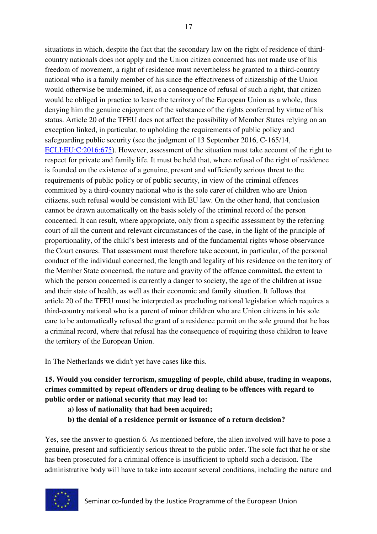situations in which, despite the fact that the secondary law on the right of residence of thirdcountry nationals does not apply and the Union citizen concerned has not made use of his freedom of movement, a right of residence must nevertheless be granted to a third-country national who is a family member of his since the effectiveness of citizenship of the Union would otherwise be undermined, if, as a consequence of refusal of such a right, that citizen would be obliged in practice to leave the territory of the European Union as a whole, thus denying him the genuine enjoyment of the substance of the rights conferred by virtue of his status. Article 20 of the TFEU does not affect the possibility of Member States relying on an exception linked, in particular, to upholding the requirements of public policy and safeguarding public security (see the judgment of 13 September 2016, C-165/14, ECLI:EU:C:2016:675). However, assessment of the situation must take account of the right to respect for private and family life. It must be held that, where refusal of the right of residence is founded on the existence of a genuine, present and sufficiently serious threat to the requirements of public policy or of public security, in view of the criminal offences committed by a third-country national who is the sole carer of children who are Union citizens, such refusal would be consistent with EU law. On the other hand, that conclusion cannot be drawn automatically on the basis solely of the criminal record of the person concerned. It can result, where appropriate, only from a specific assessment by the referring court of all the current and relevant circumstances of the case, in the light of the principle of proportionality, of the child's best interests and of the fundamental rights whose observance the Court ensures. That assessment must therefore take account, in particular, of the personal conduct of the individual concerned, the length and legality of his residence on the territory of the Member State concerned, the nature and gravity of the offence committed, the extent to which the person concerned is currently a danger to society, the age of the children at issue and their state of health, as well as their economic and family situation. It follows that article 20 of the TFEU must be interpreted as precluding national legislation which requires a third-country national who is a parent of minor children who are Union citizens in his sole care to be automatically refused the grant of a residence permit on the sole ground that he has a criminal record, where that refusal has the consequence of requiring those children to leave the territory of the European Union.

In The Netherlands we didn't yet have cases like this.

## **15. Would you consider terrorism, smuggling of people, child abuse, trading in weapons, crimes committed by repeat offenders or drug dealing to be offences with regard to public order or national security that may lead to:**

- **a) loss of nationality that had been acquired;**
- **b) the denial of a residence permit or issuance of a return decision?**

Yes, see the answer to question 6. As mentioned before, the alien involved will have to pose a genuine, present and sufficiently serious threat to the public order. The sole fact that he or she has been prosecuted for a criminal offence is insufficient to uphold such a decision. The administrative body will have to take into account several conditions, including the nature and

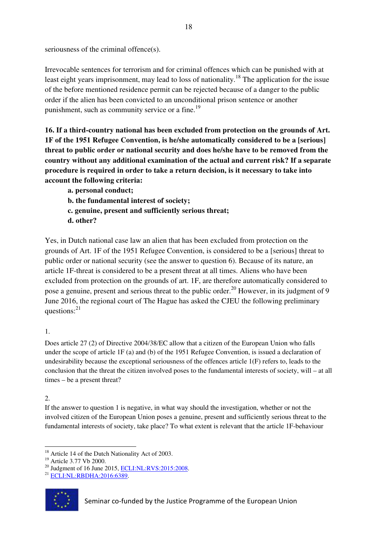seriousness of the criminal offence(s).

Irrevocable sentences for terrorism and for criminal offences which can be punished with at least eight years imprisonment, may lead to loss of nationality.<sup>18</sup> The application for the issue of the before mentioned residence permit can be rejected because of a danger to the public order if the alien has been convicted to an unconditional prison sentence or another punishment, such as community service or a fine.<sup>19</sup>

**16. If a third-country national has been excluded from protection on the grounds of Art. 1F of the 1951 Refugee Convention, is he/she automatically considered to be a [serious] threat to public order or national security and does he/she have to be removed from the country without any additional examination of the actual and current risk? If a separate procedure is required in order to take a return decision, is it necessary to take into account the following criteria:** 

- **a. personal conduct;**
- **b. the fundamental interest of society;**
- **c. genuine, present and sufficiently serious threat;**
- **d. other?**

Yes, in Dutch national case law an alien that has been excluded from protection on the grounds of Art. 1F of the 1951 Refugee Convention, is considered to be a [serious] threat to public order or national security (see the answer to question 6). Because of its nature, an article 1F-threat is considered to be a present threat at all times. Aliens who have been excluded from protection on the grounds of art. 1F, are therefore automatically considered to pose a genuine, present and serious threat to the public order.<sup>20</sup> However, in its judgment of 9 June 2016, the regional court of The Hague has asked the CJEU the following preliminary questions: $^{21}$ 

#### 1.

Does article 27 (2) of Directive 2004/38/EC allow that a citizen of the European Union who falls under the scope of article 1F (a) and (b) of the 1951 Refugee Convention, is issued a declaration of undesirability because the exceptional seriousness of the offences article 1(F) refers to, leads to the conclusion that the threat the citizen involved poses to the fundamental interests of society, will – at all times – be a present threat?

#### 2.

If the answer to question 1 is negative, in what way should the investigation, whether or not the involved citizen of the European Union poses a genuine, present and sufficiently serious threat to the fundamental interests of society, take place? To what extent is relevant that the article 1F-behaviour

<sup>21</sup> ECLI:NL:RBDHA:2016:6389.



 $\overline{a}$ <sup>18</sup> Article 14 of the Dutch Nationality Act of 2003.

<sup>&</sup>lt;sup>19</sup> Article 3.77 Vb 2000.

<sup>&</sup>lt;sup>20</sup> Judgment of 16 June 2015, <u>ECLI:NL:RVS:2015:2008</u>.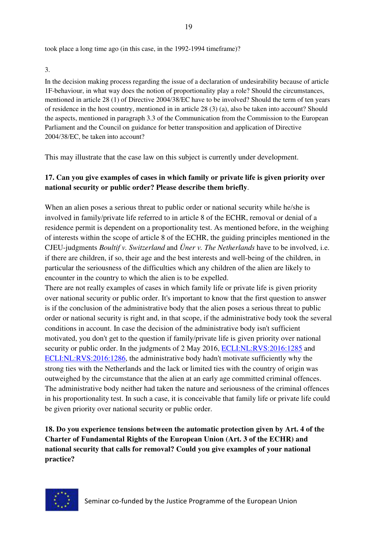took place a long time ago (in this case, in the 1992-1994 timeframe)?

3.

In the decision making process regarding the issue of a declaration of undesirability because of article 1F-behaviour, in what way does the notion of proportionality play a role? Should the circumstances, mentioned in article 28 (1) of Directive 2004/38/EC have to be involved? Should the term of ten years of residence in the host country, mentioned in in article 28 (3) (a), also be taken into account? Should the aspects, mentioned in paragraph 3.3 of the Communication from the Commission to the European Parliament and the Council on guidance for better transposition and application of Directive 2004/38/EC, be taken into account?

This may illustrate that the case law on this subject is currently under development.

## **17. Can you give examples of cases in which family or private life is given priority over national security or public order? Please describe them briefly**.

When an alien poses a serious threat to public order or national security while he/she is involved in family/private life referred to in article 8 of the ECHR, removal or denial of a residence permit is dependent on a proportionality test. As mentioned before, in the weighing of interests within the scope of article 8 of the ECHR, the guiding principles mentioned in the CJEU-judgments *Boultif v. Switzerland* and *Üner v. The Netherlands* have to be involved, i.e. if there are children, if so, their age and the best interests and well-being of the children, in particular the seriousness of the difficulties which any children of the alien are likely to encounter in the country to which the alien is to be expelled.

There are not really examples of cases in which family life or private life is given priority over national security or public order. It's important to know that the first question to answer is if the conclusion of the administrative body that the alien poses a serious threat to public order or national security is right and, in that scope, if the administrative body took the several conditions in account. In case the decision of the administrative body isn't sufficient motivated, you don't get to the question if family/private life is given priority over national security or public order. In the judgments of 2 May 2016, ECLI:NL:RVS:2016:1285 and ECLI:NL:RVS:2016:1286, the administrative body hadn't motivate sufficiently why the strong ties with the Netherlands and the lack or limited ties with the country of origin was outweighed by the circumstance that the alien at an early age committed criminal offences. The administrative body neither had taken the nature and seriousness of the criminal offences in his proportionality test. In such a case, it is conceivable that family life or private life could be given priority over national security or public order.

**18. Do you experience tensions between the automatic protection given by Art. 4 of the Charter of Fundamental Rights of the European Union (Art. 3 of the ECHR) and national security that calls for removal? Could you give examples of your national practice?** 

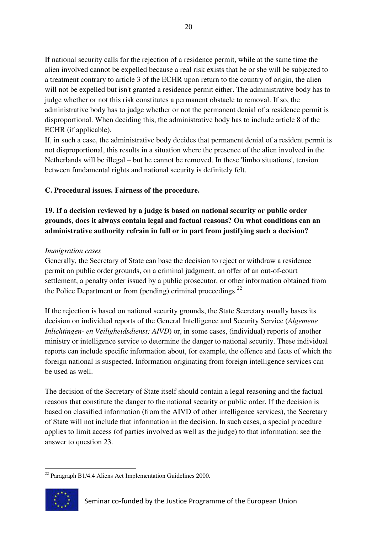If national security calls for the rejection of a residence permit, while at the same time the alien involved cannot be expelled because a real risk exists that he or she will be subjected to a treatment contrary to article 3 of the ECHR upon return to the country of origin, the alien will not be expelled but isn't granted a residence permit either. The administrative body has to judge whether or not this risk constitutes a permanent obstacle to removal. If so, the administrative body has to judge whether or not the permanent denial of a residence permit is disproportional. When deciding this, the administrative body has to include article 8 of the ECHR (if applicable).

If, in such a case, the administrative body decides that permanent denial of a resident permit is not disproportional, this results in a situation where the presence of the alien involved in the Netherlands will be illegal – but he cannot be removed. In these 'limbo situations', tension between fundamental rights and national security is definitely felt.

## **C. Procedural issues. Fairness of the procedure.**

## **19. If a decision reviewed by a judge is based on national security or public order grounds, does it always contain legal and factual reasons? On what conditions can an administrative authority refrain in full or in part from justifying such a decision?**

#### *Immigration cases*

Generally, the Secretary of State can base the decision to reject or withdraw a residence permit on public order grounds, on a criminal judgment, an offer of an out-of-court settlement, a penalty order issued by a public prosecutor, or other information obtained from the Police Department or from (pending) criminal proceedings. $^{22}$ 

If the rejection is based on national security grounds, the State Secretary usually bases its decision on individual reports of the General Intelligence and Security Service (*Algemene Inlichtingen- en Veiligheidsdienst; AIVD*) or, in some cases, (individual) reports of another ministry or intelligence service to determine the danger to national security. These individual reports can include specific information about, for example, the offence and facts of which the foreign national is suspected. Information originating from foreign intelligence services can be used as well.

The decision of the Secretary of State itself should contain a legal reasoning and the factual reasons that constitute the danger to the national security or public order. If the decision is based on classified information (from the AIVD of other intelligence services), the Secretary of State will not include that information in the decision. In such cases, a special procedure applies to limit access (of parties involved as well as the judge) to that information: see the answer to question 23.

 $\overline{a}$  $22$  Paragraph B1/4.4 Aliens Act Implementation Guidelines 2000.

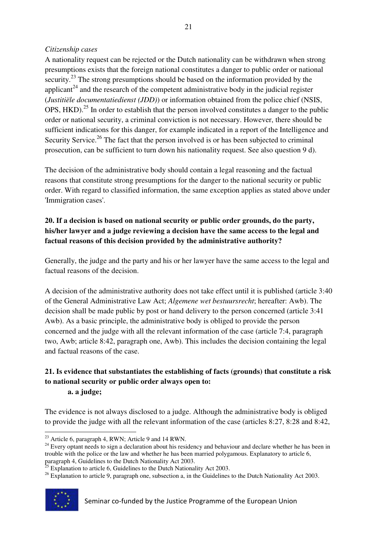#### *Citizenship cases*

A nationality request can be rejected or the Dutch nationality can be withdrawn when strong presumptions exists that the foreign national constitutes a danger to public order or national security.<sup>23</sup> The strong presumptions should be based on the information provided by the applicant<sup>24</sup> and the research of the competent administrative body in the judicial register (*Justitiële documentatiedienst (JDD)*) or information obtained from the police chief (NSIS, OPS,  $HKD$ ).<sup>25</sup> In order to establish that the person involved constitutes a danger to the public order or national security, a criminal conviction is not necessary. However, there should be sufficient indications for this danger, for example indicated in a report of the Intelligence and Security Service.<sup>26</sup> The fact that the person involved is or has been subjected to criminal prosecution, can be sufficient to turn down his nationality request. See also question 9 d).

The decision of the administrative body should contain a legal reasoning and the factual reasons that constitute strong presumptions for the danger to the national security or public order. With regard to classified information, the same exception applies as stated above under 'Immigration cases'.

## **20. If a decision is based on national security or public order grounds, do the party, his/her lawyer and a judge reviewing a decision have the same access to the legal and factual reasons of this decision provided by the administrative authority?**

Generally, the judge and the party and his or her lawyer have the same access to the legal and factual reasons of the decision.

A decision of the administrative authority does not take effect until it is published (article 3:40 of the General Administrative Law Act; *Algemene wet bestuursrecht*; hereafter: Awb). The decision shall be made public by post or hand delivery to the person concerned (article 3:41 Awb). As a basic principle, the administrative body is obliged to provide the person concerned and the judge with all the relevant information of the case (article 7:4, paragraph two, Awb; article 8:42, paragraph one, Awb). This includes the decision containing the legal and factual reasons of the case.

## **21. Is evidence that substantiates the establishing of facts (grounds) that constitute a risk to national security or public order always open to: a. a judge;**

The evidence is not always disclosed to a judge. Although the administrative body is obliged to provide the judge with all the relevant information of the case (articles 8:27, 8:28 and 8:42,

<sup>&</sup>lt;sup>26</sup> Explanation to article 9, paragraph one, subsection a, in the Guidelines to the Dutch Nationality Act 2003.



 $\overline{a}$  $^{23}$  Article 6, paragraph 4, RWN; Article 9 and 14 RWN.

<sup>&</sup>lt;sup>24</sup> Every optant needs to sign a declaration about his residency and behaviour and declare whether he has been in trouble with the police or the law and whether he has been married polygamous. Explanatory to article 6, paragraph 4, Guidelines to the Dutch Nationality Act 2003.

<sup>25</sup> Explanation to article 6, Guidelines to the Dutch Nationality Act 2003.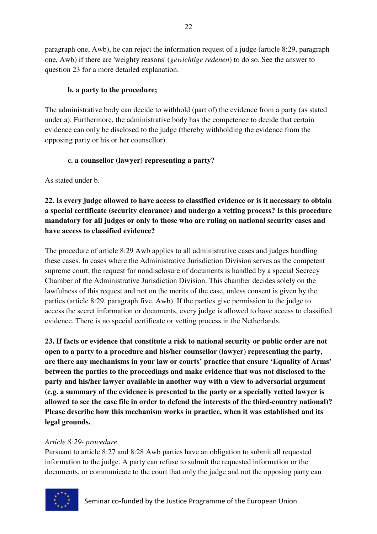paragraph one, Awb), he can reject the information request of a judge (article 8:29, paragraph one, Awb) if there are 'weighty reasons' (*gewichtige redenen*) to do so. See the answer to question 23 for a more detailed explanation.

#### **b. a party to the procedure;**

The administrative body can decide to withhold (part of) the evidence from a party (as stated under a). Furthermore, the administrative body has the competence to decide that certain evidence can only be disclosed to the judge (thereby withholding the evidence from the opposing party or his or her counsellor).

#### **c. a counsellor (lawyer) representing a party?**

As stated under b.

## **22. Is every judge allowed to have access to classified evidence or is it necessary to obtain a special certificate (security clearance) and undergo a vetting process? Is this procedure mandatory for all judges or only to those who are ruling on national security cases and have access to classified evidence?**

The procedure of article 8:29 Awb applies to all administrative cases and judges handling these cases. In cases where the Administrative Jurisdiction Division serves as the competent supreme court, the request for nondisclosure of documents is handled by a special Secrecy Chamber of the Administrative Jurisdiction Division. This chamber decides solely on the lawfulness of this request and not on the merits of the case, unless consent is given by the parties (article 8:29, paragraph five, Awb). If the parties give permission to the judge to access the secret information or documents, every judge is allowed to have access to classified evidence. There is no special certificate or vetting process in the Netherlands.

**23. If facts or evidence that constitute a risk to national security or public order are not open to a party to a procedure and his/her counsellor (lawyer) representing the party, are there any mechanisms in your law or courts' practice that ensure 'Equality of Arms' between the parties to the proceedings and make evidence that was not disclosed to the party and his/her lawyer available in another way with a view to adversarial argument (e.g. a summary of the evidence is presented to the party or a specially vetted lawyer is allowed to see the case file in order to defend the interests of the third-country national)? Please describe how this mechanism works in practice, when it was established and its legal grounds.** 

## *Article 8:29- procedure*

Pursuant to article 8:27 and 8:28 Awb parties have an obligation to submit all requested information to the judge. A party can refuse to submit the requested information or the documents, or communicate to the court that only the judge and not the opposing party can

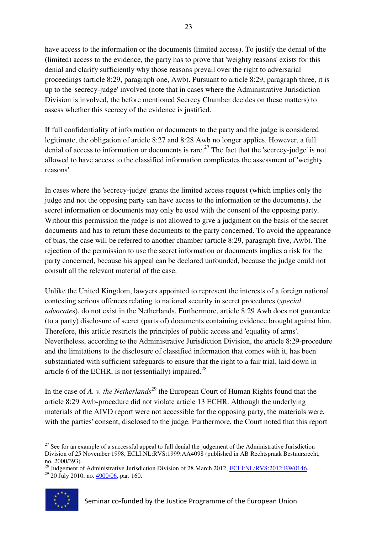have access to the information or the documents (limited access). To justify the denial of the (limited) access to the evidence, the party has to prove that 'weighty reasons' exists for this denial and clarify sufficiently why those reasons prevail over the right to adversarial proceedings (article 8:29, paragraph one, Awb). Pursuant to article 8:29, paragraph three, it is up to the 'secrecy-judge' involved (note that in cases where the Administrative Jurisdiction Division is involved, the before mentioned Secrecy Chamber decides on these matters) to assess whether this secrecy of the evidence is justified.

If full confidentiality of information or documents to the party and the judge is considered legitimate, the obligation of article 8:27 and 8:28 Awb no longer applies. However, a full denial of access to information or documents is rare.<sup>27</sup> The fact that the 'secrecy-judge' is not allowed to have access to the classified information complicates the assessment of 'weighty reasons'.

In cases where the 'secrecy-judge' grants the limited access request (which implies only the judge and not the opposing party can have access to the information or the documents), the secret information or documents may only be used with the consent of the opposing party. Without this permission the judge is not allowed to give a judgment on the basis of the secret documents and has to return these documents to the party concerned. To avoid the appearance of bias, the case will be referred to another chamber (article 8:29, paragraph five, Awb). The rejection of the permission to use the secret information or documents implies a risk for the party concerned, because his appeal can be declared unfounded, because the judge could not consult all the relevant material of the case.

Unlike the United Kingdom, lawyers appointed to represent the interests of a foreign national contesting serious offences relating to national security in secret procedures (*special advocate*s), do not exist in the Netherlands. Furthermore, article 8:29 Awb does not guarantee (to a party) disclosure of secret (parts of) documents containing evidence brought against him. Therefore, this article restricts the principles of public access and 'equality of arms'. Nevertheless, according to the Administrative Jurisdiction Division, the article 8:29-procedure and the limitations to the disclosure of classified information that comes with it, has been substantiated with sufficient safeguards to ensure that the right to a fair trial, laid down in article 6 of the ECHR, is not (essentially) impaired.<sup>28</sup>

In the case of *A. v. the Netherlands*<sup>29</sup> the European Court of Human Rights found that the article 8:29 Awb-procedure did not violate article 13 ECHR. Although the underlying materials of the AIVD report were not accessible for the opposing party, the materials were, with the parties' consent, disclosed to the judge. Furthermore, the Court noted that this report

<sup>&</sup>lt;sup>29</sup> 20 July 2010, no. 4900/06, par. 160.



 $\overline{a}$  $27$  See for an example of a successful appeal to full denial the judgement of the Administrative Jurisdiction Division of 25 November 1998, ECLI:NL:RVS:1999:AA4098 (published in AB Rechtspraak Bestuursrecht, no. 2000/393).

<sup>&</sup>lt;sup>28</sup> Judgement of Administrative Jurisdiction Division of 28 March 2012, ECLI:NL:RVS:2012:BW0146.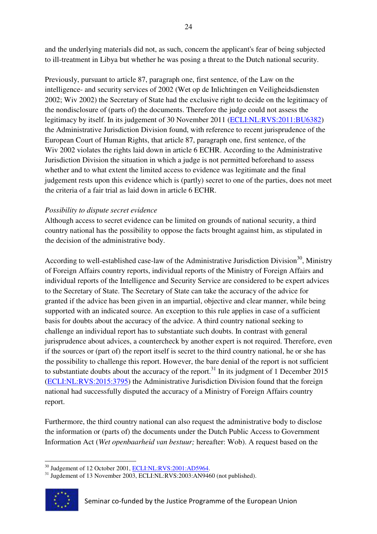and the underlying materials did not, as such, concern the applicant's fear of being subjected to ill-treatment in Libya but whether he was posing a threat to the Dutch national security.

Previously, pursuant to article 87, paragraph one, first sentence, of the Law on the intelligence- and security services of 2002 (Wet op de Inlichtingen en Veiligheidsdiensten 2002; Wiv 2002) the Secretary of State had the exclusive right to decide on the legitimacy of the nondisclosure of (parts of) the documents. Therefore the judge could not assess the legitimacy by itself. In its judgement of 30 November 2011 (ECLI:NL:RVS:2011:BU6382) the Administrative Jurisdiction Division found, with reference to recent jurisprudence of the European Court of Human Rights, that article 87, paragraph one, first sentence, of the Wiv 2002 violates the rights laid down in article 6 ECHR. According to the Administrative Jurisdiction Division the situation in which a judge is not permitted beforehand to assess whether and to what extent the limited access to evidence was legitimate and the final judgement rests upon this evidence which is (partly) secret to one of the parties, does not meet the criteria of a fair trial as laid down in article 6 ECHR.

#### *Possibility to dispute secret evidence*

Although access to secret evidence can be limited on grounds of national security, a third country national has the possibility to oppose the facts brought against him, as stipulated in the decision of the administrative body.

According to well-established case-law of the Administrative Jurisdiction Division<sup>30</sup>, Ministry of Foreign Affairs country reports, individual reports of the Ministry of Foreign Affairs and individual reports of the Intelligence and Security Service are considered to be expert advices to the Secretary of State. The Secretary of State can take the accuracy of the advice for granted if the advice has been given in an impartial, objective and clear manner, while being supported with an indicated source. An exception to this rule applies in case of a sufficient basis for doubts about the accuracy of the advice. A third country national seeking to challenge an individual report has to substantiate such doubts. In contrast with general jurisprudence about advices, a countercheck by another expert is not required. Therefore, even if the sources or (part of) the report itself is secret to the third country national, he or she has the possibility to challenge this report. However, the bare denial of the report is not sufficient to substantiate doubts about the accuracy of the report.<sup>31</sup> In its judgment of 1 December 2015 (ECLI:NL:RVS:2015:3795) the Administrative Jurisdiction Division found that the foreign national had successfully disputed the accuracy of a Ministry of Foreign Affairs country report.

Furthermore, the third country national can also request the administrative body to disclose the information or (parts of) the documents under the Dutch Public Access to Government Information Act (*Wet openbaarheid van bestuur;* hereafter: Wob). A request based on the

<sup>&</sup>lt;sup>31</sup> Jugdement of 13 November 2003, ECLI:NL:RVS:2003:AN9460 (not published).



 $\overline{a}$ <sup>30</sup> Judgement of 12 October 2001, **ECLI:NL:RVS:2001:AD5964**.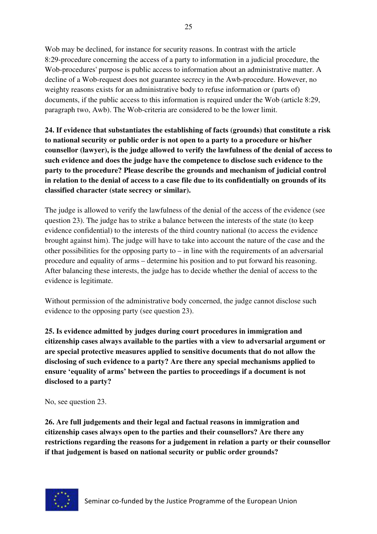Wob may be declined, for instance for security reasons. In contrast with the article 8:29-procedure concerning the access of a party to information in a judicial procedure, the Wob-procedures' purpose is public access to information about an administrative matter. A decline of a Wob-request does not guarantee secrecy in the Awb-procedure. However, no weighty reasons exists for an administrative body to refuse information or (parts of) documents, if the public access to this information is required under the Wob (article 8:29, paragraph two, Awb). The Wob-criteria are considered to be the lower limit.

**24. If evidence that substantiates the establishing of facts (grounds) that constitute a risk to national security or public order is not open to a party to a procedure or his/her counsellor (lawyer), is the judge allowed to verify the lawfulness of the denial of access to such evidence and does the judge have the competence to disclose such evidence to the party to the procedure? Please describe the grounds and mechanism of judicial control in relation to the denial of access to a case file due to its confidentially on grounds of its classified character (state secrecy or similar).** 

The judge is allowed to verify the lawfulness of the denial of the access of the evidence (see question 23). The judge has to strike a balance between the interests of the state (to keep evidence confidential) to the interests of the third country national (to access the evidence brought against him). The judge will have to take into account the nature of the case and the other possibilities for the opposing party to  $-$  in line with the requirements of an adversarial procedure and equality of arms – determine his position and to put forward his reasoning. After balancing these interests, the judge has to decide whether the denial of access to the evidence is legitimate.

Without permission of the administrative body concerned, the judge cannot disclose such evidence to the opposing party (see question 23).

**25. Is evidence admitted by judges during court procedures in immigration and citizenship cases always available to the parties with a view to adversarial argument or are special protective measures applied to sensitive documents that do not allow the disclosing of such evidence to a party? Are there any special mechanisms applied to ensure 'equality of arms' between the parties to proceedings if a document is not disclosed to a party?** 

No, see question 23.

**26. Are full judgements and their legal and factual reasons in immigration and citizenship cases always open to the parties and their counsellors? Are there any restrictions regarding the reasons for a judgement in relation a party or their counsellor if that judgement is based on national security or public order grounds?**